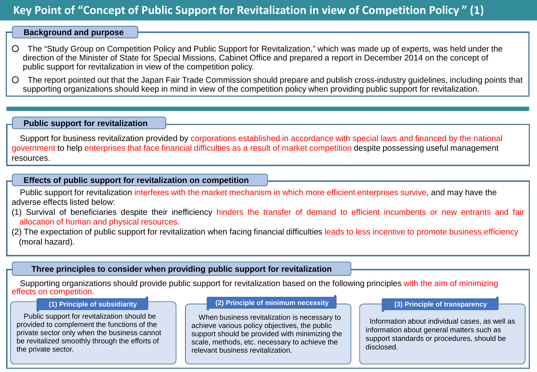# **Key Point of "Concept of Public Support for Revitalization in view of Competition Policy " (1)**

# **Background and purpose**

- The "Study Group on Competition Policy and Public Support for Revitalization," which was made up of experts, was held under the direction of the Minister of State for Special Missions, Cabinet Office and prepared a report in December 2014 on the concept of public support for revitalization in view of the competition policy.
- The report pointed out that the Japan Fair Trade Commission should prepare and publish cross-industry guidelines, including points that supporting organizations should keep in mind in view of the competition policy when providing public support for revitalization.

### **Public support for revitalization**

Support for business revitalization provided by corporations established in accordance with special laws and financed by the national government to help enterprises that face financial difficulties as a result of market competition despite possessing useful management resources.

## **Effects of public support for revitalization on competition**

Public support for revitalization interferes with the market mechanism in which more efficient enterprises survive, and may have the adverse effects listed below:

- (1) Survival of beneficiaries despite their inefficiency hinders the transfer of demand to efficient incumbents or new entrants and fair allocation of human and physical resources.
- (2) The expectation of public support for revitalization when facing financial difficulties leads to less incentive to promote business efficiency (moral hazard).

# **Three principles to consider when providing public support for revitalization**

Supporting organizations should provide public support for revitalization based on the following principles with the aim of minimizing effects on competition.

Public support for revitalization should be provided to complement the functions of the private sector only when the business cannot be revitalized smoothly through the efforts of the private sector.

#### **(1) Principle of subsidiarity (2) Principle of minimum necessity (3) Principle of transparency**

When business revitalization is necessary to achieve various policy objectives, the public support should be provided with minimizing the scale, methods, etc. necessary to achieve the relevant business revitalization.

Information about individual cases, as well as information about general matters such as support standards or procedures, should be disclosed.